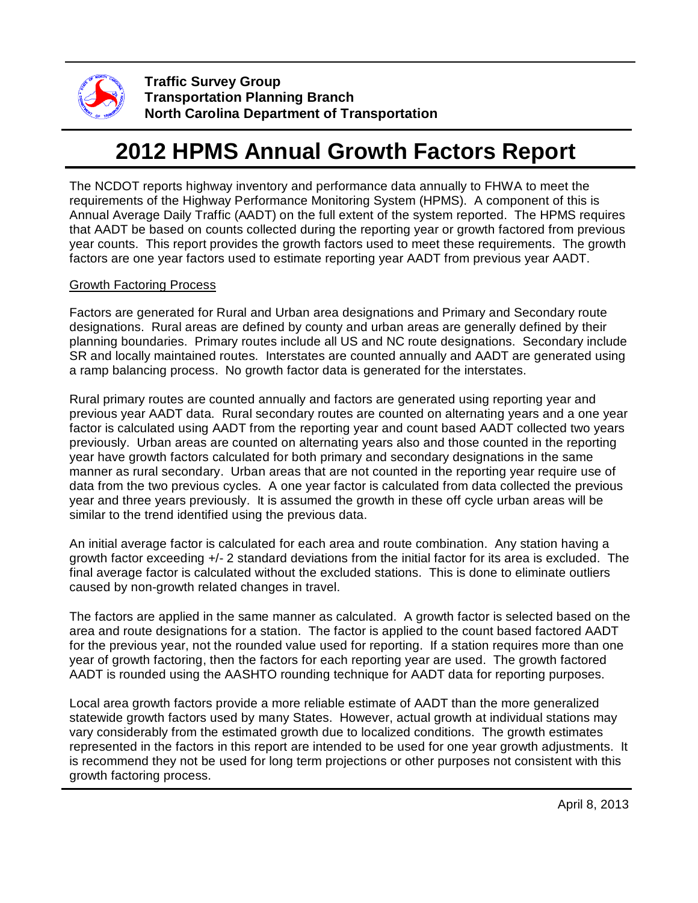

**Traffic Survey Group Transportation Planning Branch North Carolina Department of Transportation**

## **2012 HPMS Annual Growth Factors Report**

The NCDOT reports highway inventory and performance data annually to FHWA to meet the requirements of the Highway Performance Monitoring System (HPMS). A component of this is Annual Average Daily Traffic (AADT) on the full extent of the system reported. The HPMS requires that AADT be based on counts collected during the reporting year or growth factored from previous year counts. This report provides the growth factors used to meet these requirements. The growth factors are one year factors used to estimate reporting year AADT from previous year AADT.

## Growth Factoring Process

Factors are generated for Rural and Urban area designations and Primary and Secondary route designations. Rural areas are defined by county and urban areas are generally defined by their planning boundaries. Primary routes include all US and NC route designations. Secondary include SR and locally maintained routes. Interstates are counted annually and AADT are generated using a ramp balancing process. No growth factor data is generated for the interstates.

Rural primary routes are counted annually and factors are generated using reporting year and previous year AADT data. Rural secondary routes are counted on alternating years and a one year factor is calculated using AADT from the reporting year and count based AADT collected two years previously. Urban areas are counted on alternating years also and those counted in the reporting year have growth factors calculated for both primary and secondary designations in the same manner as rural secondary. Urban areas that are not counted in the reporting year require use of data from the two previous cycles. A one year factor is calculated from data collected the previous year and three years previously. It is assumed the growth in these off cycle urban areas will be similar to the trend identified using the previous data.

An initial average factor is calculated for each area and route combination. Any station having a growth factor exceeding +/- 2 standard deviations from the initial factor for its area is excluded. The final average factor is calculated without the excluded stations. This is done to eliminate outliers caused by non-growth related changes in travel.

The factors are applied in the same manner as calculated. A growth factor is selected based on the area and route designations for a station. The factor is applied to the count based factored AADT for the previous year, not the rounded value used for reporting. If a station requires more than one year of growth factoring, then the factors for each reporting year are used. The growth factored AADT is rounded using the AASHTO rounding technique for AADT data for reporting purposes.

Local area growth factors provide a more reliable estimate of AADT than the more generalized statewide growth factors used by many States. However, actual growth at individual stations may vary considerably from the estimated growth due to localized conditions. The growth estimates represented in the factors in this report are intended to be used for one year growth adjustments. It is recommend they not be used for long term projections or other purposes not consistent with this growth factoring process.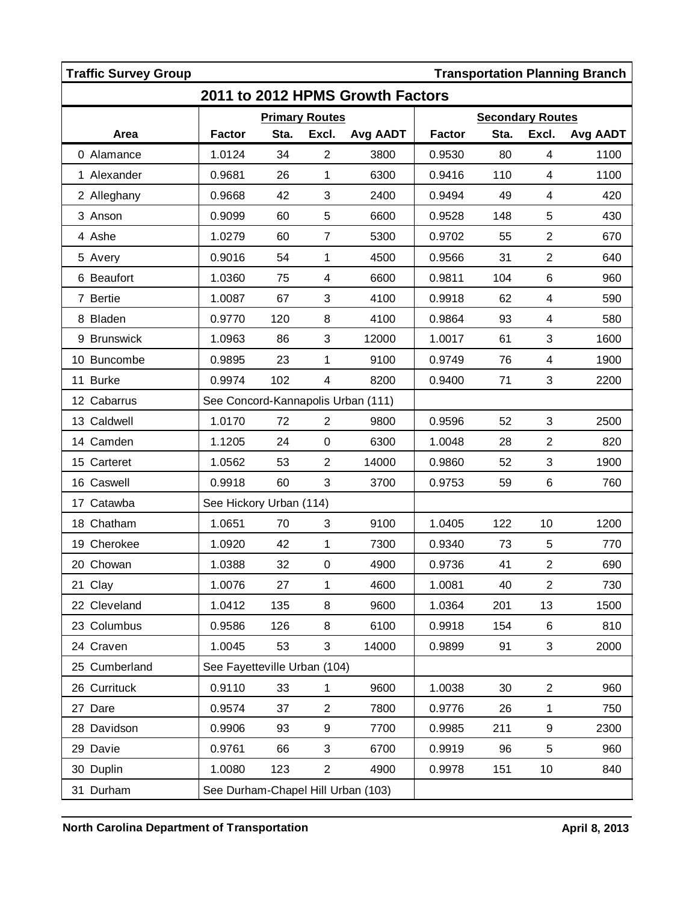|                                  | <b>Traffic Survey Group</b>                     |                                    |      |                  |          |                         |      |                          | <b>Transportation Planning Branch</b> |
|----------------------------------|-------------------------------------------------|------------------------------------|------|------------------|----------|-------------------------|------|--------------------------|---------------------------------------|
| 2011 to 2012 HPMS Growth Factors |                                                 |                                    |      |                  |          |                         |      |                          |                                       |
|                                  |                                                 | <b>Primary Routes</b>              |      |                  |          | <b>Secondary Routes</b> |      |                          |                                       |
|                                  | Area                                            | <b>Factor</b>                      | Sta. | Excl.            | Avg AADT | <b>Factor</b>           | Sta. | Excl.                    | Avg AADT                              |
|                                  | 0 Alamance                                      | 1.0124                             | 34   | $\overline{2}$   | 3800     | 0.9530                  | 80   | 4                        | 1100                                  |
|                                  | 1 Alexander                                     | 0.9681                             | 26   | $\mathbf{1}$     | 6300     | 0.9416                  | 110  | 4                        | 1100                                  |
|                                  | 2 Alleghany                                     | 0.9668                             | 42   | 3                | 2400     | 0.9494                  | 49   | 4                        | 420                                   |
|                                  | 3 Anson                                         | 0.9099                             | 60   | $\mathbf 5$      | 6600     | 0.9528                  | 148  | 5                        | 430                                   |
|                                  | 4 Ashe                                          | 1.0279                             | 60   | $\overline{7}$   | 5300     | 0.9702                  | 55   | $\overline{2}$           | 670                                   |
|                                  | 5 Avery                                         | 0.9016                             | 54   | 1                | 4500     | 0.9566                  | 31   | $\overline{2}$           | 640                                   |
|                                  | 6 Beaufort                                      | 1.0360                             | 75   | $\overline{4}$   | 6600     | 0.9811                  | 104  | $\,6$                    | 960                                   |
|                                  | 7 Bertie                                        | 1.0087                             | 67   | 3                | 4100     | 0.9918                  | 62   | $\overline{\mathcal{A}}$ | 590                                   |
|                                  | 8 Bladen                                        | 0.9770                             | 120  | 8                | 4100     | 0.9864                  | 93   | 4                        | 580                                   |
|                                  | 9 Brunswick                                     | 1.0963                             | 86   | 3                | 12000    | 1.0017                  | 61   | 3                        | 1600                                  |
|                                  | 10 Buncombe                                     | 0.9895                             | 23   | 1                | 9100     | 0.9749                  | 76   | 4                        | 1900                                  |
|                                  | 11 Burke                                        | 0.9974                             | 102  | 4                | 8200     | 0.9400                  | 71   | 3                        | 2200                                  |
|                                  | 12 Cabarrus                                     | See Concord-Kannapolis Urban (111) |      |                  |          |                         |      |                          |                                       |
|                                  | 13 Caldwell                                     | 1.0170                             | 72   | $\overline{2}$   | 9800     | 0.9596                  | 52   | 3                        | 2500                                  |
|                                  | 14 Camden                                       | 1.1205                             | 24   | $\mathbf 0$      | 6300     | 1.0048                  | 28   | $\overline{2}$           | 820                                   |
|                                  | 15 Carteret                                     | 1.0562                             | 53   | $\overline{2}$   | 14000    | 0.9860                  | 52   | 3                        | 1900                                  |
|                                  | 16 Caswell                                      | 0.9918                             | 60   | 3                | 3700     | 0.9753                  | 59   | 6                        | 760                                   |
|                                  | 17 Catawba                                      | See Hickory Urban (114)            |      |                  |          |                         |      |                          |                                       |
|                                  | 18 Chatham                                      | 1.0651                             | 70   | 3                | 9100     | 1.0405                  | 122  | 10                       | 1200                                  |
|                                  | 19 Cherokee                                     | 1.0920                             | 42   | $\mathbf{1}$     | 7300     | 0.9340                  | 73   | $\mathbf 5$              | 770                                   |
|                                  | 20 Chowan                                       | 1.0388                             | 32   | $\boldsymbol{0}$ | 4900     | 0.9736                  | 41   | $\sqrt{2}$               | 690                                   |
|                                  | 21 Clay                                         | 1.0076                             | 27   | 1                | 4600     | 1.0081                  | 40   | $\mathbf{2}$             | 730                                   |
|                                  | 22 Cleveland                                    | 1.0412                             | 135  | 8                | 9600     | 1.0364                  | 201  | 13                       | 1500                                  |
|                                  | 23 Columbus                                     | 0.9586                             | 126  | 8                | 6100     | 0.9918                  | 154  | 6                        | 810                                   |
|                                  | 24 Craven                                       | 1.0045                             | 53   | 3                | 14000    | 0.9899                  | 91   | $\mathfrak{S}$           | 2000                                  |
|                                  | 25 Cumberland                                   | See Fayetteville Urban (104)       |      |                  |          |                         |      |                          |                                       |
|                                  | 26 Currituck                                    | 0.9110                             | 33   | $\mathbf{1}$     | 9600     | 1.0038                  | 30   | $\overline{2}$           | 960                                   |
|                                  | 27 Dare                                         | 0.9574                             | 37   | $\overline{2}$   | 7800     | 0.9776                  | 26   | 1                        | 750                                   |
|                                  | 28 Davidson                                     | 0.9906                             | 93   | 9                | 7700     | 0.9985                  | 211  | $\boldsymbol{9}$         | 2300                                  |
|                                  | 29 Davie                                        | 0.9761                             | 66   | 3                | 6700     | 0.9919                  | 96   | 5                        | 960                                   |
|                                  | 30 Duplin                                       | 1.0080                             | 123  | $\overline{2}$   | 4900     | 0.9978                  | 151  | 10                       | 840                                   |
|                                  | 31 Durham<br>See Durham-Chapel Hill Urban (103) |                                    |      |                  |          |                         |      |                          |                                       |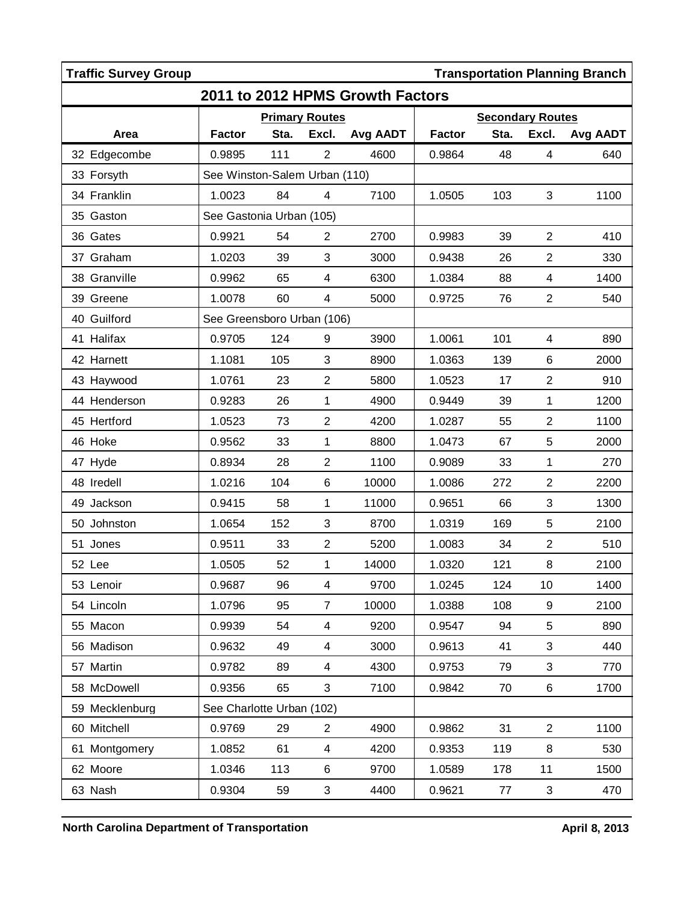| <b>Traffic Survey Group</b><br><b>Transportation Planning Branch</b> |                               |      |                          |          |               |                         |                |          |  |
|----------------------------------------------------------------------|-------------------------------|------|--------------------------|----------|---------------|-------------------------|----------------|----------|--|
| 2011 to 2012 HPMS Growth Factors                                     |                               |      |                          |          |               |                         |                |          |  |
|                                                                      | <b>Primary Routes</b>         |      |                          |          |               | <b>Secondary Routes</b> |                |          |  |
| Area                                                                 | <b>Factor</b>                 | Sta. | Excl.                    | Avg AADT | <b>Factor</b> | Sta.                    | Excl.          | Avg AADT |  |
| 32 Edgecombe                                                         | 0.9895                        | 111  | $\overline{2}$           | 4600     | 0.9864        | 48                      | 4              | 640      |  |
| 33 Forsyth                                                           | See Winston-Salem Urban (110) |      |                          |          |               |                         |                |          |  |
| 34 Franklin                                                          | 1.0023                        | 84   | $\overline{4}$           | 7100     | 1.0505        | 103                     | 3              | 1100     |  |
| 35 Gaston                                                            | See Gastonia Urban (105)      |      |                          |          |               |                         |                |          |  |
| 36 Gates                                                             | 0.9921                        | 54   | $\overline{2}$           | 2700     | 0.9983        | 39                      | $\overline{2}$ | 410      |  |
| 37 Graham                                                            | 1.0203                        | 39   | 3                        | 3000     | 0.9438        | 26                      | $\overline{2}$ | 330      |  |
| 38 Granville                                                         | 0.9962                        | 65   | $\overline{\mathbf{4}}$  | 6300     | 1.0384        | 88                      | 4              | 1400     |  |
| 39 Greene                                                            | 1.0078                        | 60   | 4                        | 5000     | 0.9725        | 76                      | $\overline{2}$ | 540      |  |
| 40 Guilford                                                          | See Greensboro Urban (106)    |      |                          |          |               |                         |                |          |  |
| 41 Halifax                                                           | 0.9705                        | 124  | 9                        | 3900     | 1.0061        | 101                     | 4              | 890      |  |
| 42 Harnett                                                           | 1.1081                        | 105  | 3                        | 8900     | 1.0363        | 139                     | 6              | 2000     |  |
| 43 Haywood                                                           | 1.0761                        | 23   | $\overline{2}$           | 5800     | 1.0523        | 17                      | $\overline{2}$ | 910      |  |
| 44 Henderson                                                         | 0.9283                        | 26   | 1                        | 4900     | 0.9449        | 39                      | 1              | 1200     |  |
| 45 Hertford                                                          | 1.0523                        | 73   | $\overline{c}$           | 4200     | 1.0287        | 55                      | $\overline{2}$ | 1100     |  |
| 46 Hoke                                                              | 0.9562                        | 33   | 1                        | 8800     | 1.0473        | 67                      | 5              | 2000     |  |
| 47 Hyde                                                              | 0.8934                        | 28   | $\overline{2}$           | 1100     | 0.9089        | 33                      | 1              | 270      |  |
| 48 Iredell                                                           | 1.0216                        | 104  | 6                        | 10000    | 1.0086        | 272                     | $\overline{c}$ | 2200     |  |
| 49 Jackson                                                           | 0.9415                        | 58   | 1                        | 11000    | 0.9651        | 66                      | 3              | 1300     |  |
| 50 Johnston                                                          | 1.0654                        | 152  | 3                        | 8700     | 1.0319        | 169                     | 5              | 2100     |  |
| 51 Jones                                                             | 0.9511                        | 33   | $\overline{2}$           | 5200     | 1.0083        | 34                      | $\overline{2}$ | 510      |  |
| 52 Lee                                                               | 1.0505                        | 52   | 1                        | 14000    | 1.0320        | 121                     | 8              | 2100     |  |
| 53 Lenoir                                                            | 0.9687                        | 96   | $\overline{\mathbf{4}}$  | 9700     | 1.0245        | 124                     | 10             | 1400     |  |
| 54 Lincoln                                                           | 1.0796                        | 95   | $\overline{7}$           | 10000    | 1.0388        | 108                     | 9              | 2100     |  |
| 55 Macon                                                             | 0.9939                        | 54   | $\overline{\mathcal{A}}$ | 9200     | 0.9547        | 94                      | 5              | 890      |  |
| 56 Madison                                                           | 0.9632                        | 49   | 4                        | 3000     | 0.9613        | 41                      | 3              | 440      |  |
| 57 Martin                                                            | 0.9782                        | 89   | $\overline{\mathcal{A}}$ | 4300     | 0.9753        | 79                      | 3              | 770      |  |
| 58 McDowell                                                          | 0.9356                        | 65   | 3                        | 7100     | 0.9842        | 70                      | 6              | 1700     |  |
| 59 Mecklenburg                                                       | See Charlotte Urban (102)     |      |                          |          |               |                         |                |          |  |
| 60 Mitchell                                                          | 0.9769                        | 29   | $\overline{2}$           | 4900     | 0.9862        | 31                      | $\overline{2}$ | 1100     |  |
| 61 Montgomery                                                        | 1.0852                        | 61   | $\overline{4}$           | 4200     | 0.9353        | 119                     | 8              | 530      |  |
| 62 Moore                                                             | 1.0346                        | 113  | 6                        | 9700     | 1.0589        | 178                     | 11             | 1500     |  |
| 63 Nash                                                              | 0.9304                        | 59   | 3                        | 4400     | 0.9621        | 77                      | 3              | 470      |  |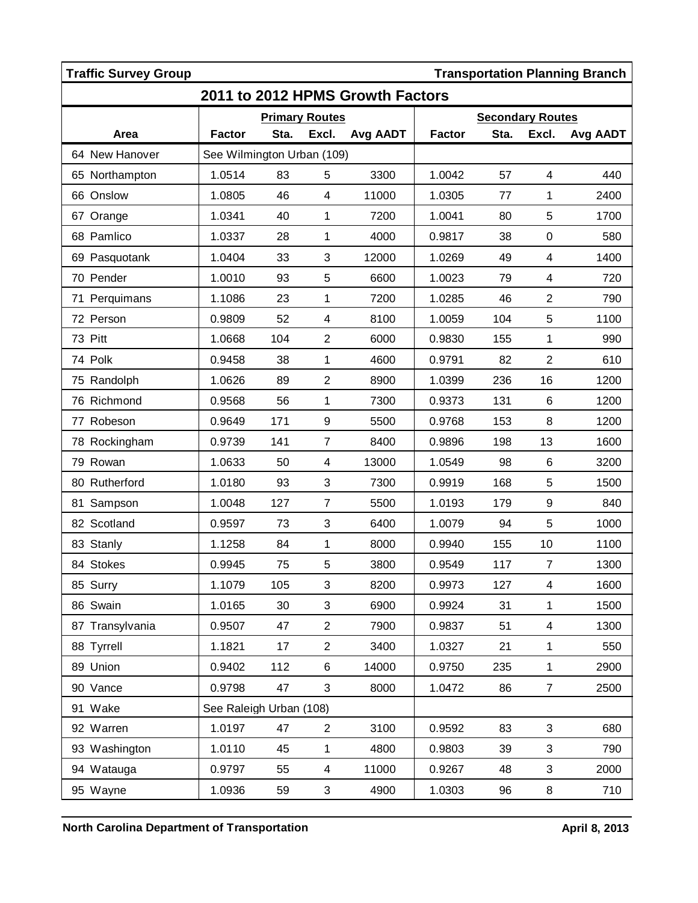| <b>Traffic Survey Group</b><br><b>Transportation Planning Branch</b> |                            |      |                           |          |                         |      |                  |          |  |  |
|----------------------------------------------------------------------|----------------------------|------|---------------------------|----------|-------------------------|------|------------------|----------|--|--|
| 2011 to 2012 HPMS Growth Factors                                     |                            |      |                           |          |                         |      |                  |          |  |  |
|                                                                      | <b>Primary Routes</b>      |      |                           |          | <b>Secondary Routes</b> |      |                  |          |  |  |
| Area                                                                 | <b>Factor</b>              | Sta. | Excl.                     | Avg AADT | <b>Factor</b>           | Sta. | Excl.            | Avg AADT |  |  |
| 64 New Hanover                                                       | See Wilmington Urban (109) |      |                           |          |                         |      |                  |          |  |  |
| 65 Northampton                                                       | 1.0514                     | 83   | 5                         | 3300     | 1.0042                  | 57   | 4                | 440      |  |  |
| 66 Onslow                                                            | 1.0805                     | 46   | $\overline{\mathcal{A}}$  | 11000    | 1.0305                  | 77   | 1                | 2400     |  |  |
| 67 Orange                                                            | 1.0341                     | 40   | 1                         | 7200     | 1.0041                  | 80   | 5                | 1700     |  |  |
| 68 Pamlico                                                           | 1.0337                     | 28   | $\mathbf{1}$              | 4000     | 0.9817                  | 38   | 0                | 580      |  |  |
| 69 Pasquotank                                                        | 1.0404                     | 33   | $\ensuremath{\mathsf{3}}$ | 12000    | 1.0269                  | 49   | 4                | 1400     |  |  |
| 70 Pender                                                            | 1.0010                     | 93   | 5                         | 6600     | 1.0023                  | 79   | 4                | 720      |  |  |
| 71 Perquimans                                                        | 1.1086                     | 23   | 1                         | 7200     | 1.0285                  | 46   | $\overline{2}$   | 790      |  |  |
| 72 Person                                                            | 0.9809                     | 52   | $\overline{\mathbf{4}}$   | 8100     | 1.0059                  | 104  | 5                | 1100     |  |  |
| 73 Pitt                                                              | 1.0668                     | 104  | $\overline{2}$            | 6000     | 0.9830                  | 155  | 1                | 990      |  |  |
| 74 Polk                                                              | 0.9458                     | 38   | 1                         | 4600     | 0.9791                  | 82   | $\overline{2}$   | 610      |  |  |
| 75 Randolph                                                          | 1.0626                     | 89   | $\overline{2}$            | 8900     | 1.0399                  | 236  | 16               | 1200     |  |  |
| 76 Richmond                                                          | 0.9568                     | 56   | 1                         | 7300     | 0.9373                  | 131  | 6                | 1200     |  |  |
| 77 Robeson                                                           | 0.9649                     | 171  | 9                         | 5500     | 0.9768                  | 153  | 8                | 1200     |  |  |
| 78 Rockingham                                                        | 0.9739                     | 141  | $\overline{7}$            | 8400     | 0.9896                  | 198  | 13               | 1600     |  |  |
| 79 Rowan                                                             | 1.0633                     | 50   | 4                         | 13000    | 1.0549                  | 98   | $\,6$            | 3200     |  |  |
| 80 Rutherford                                                        | 1.0180                     | 93   | 3                         | 7300     | 0.9919                  | 168  | 5                | 1500     |  |  |
| Sampson<br>81                                                        | 1.0048                     | 127  | $\overline{7}$            | 5500     | 1.0193                  | 179  | $\boldsymbol{9}$ | 840      |  |  |
| 82 Scotland                                                          | 0.9597                     | 73   | 3                         | 6400     | 1.0079                  | 94   | 5                | 1000     |  |  |
| 83 Stanly                                                            | 1.1258                     | 84   | 1                         | 8000     | 0.9940                  | 155  | 10               | 1100     |  |  |
| 84 Stokes                                                            | 0.9945                     | 75   | 5                         | 3800     | 0.9549                  | 117  | $\overline{7}$   | 1300     |  |  |
| 85 Surry                                                             | 1.1079                     | 105  | 3                         | 8200     | 0.9973                  | 127  | 4                | 1600     |  |  |
| 86 Swain                                                             | 1.0165                     | 30   | 3                         | 6900     | 0.9924                  | 31   | $\mathbf{1}$     | 1500     |  |  |
| 87 Transylvania                                                      | 0.9507                     | 47   | $\overline{2}$            | 7900     | 0.9837                  | 51   | 4                | 1300     |  |  |
| 88 Tyrrell                                                           | 1.1821                     | 17   | $\overline{2}$            | 3400     | 1.0327                  | 21   | $\mathbf{1}$     | 550      |  |  |
| 89 Union                                                             | 0.9402                     | 112  | 6                         | 14000    | 0.9750                  | 235  | $\mathbf{1}$     | 2900     |  |  |
| 90 Vance                                                             | 0.9798                     | 47   | 3                         | 8000     | 1.0472                  | 86   | $\overline{7}$   | 2500     |  |  |
| 91 Wake                                                              | See Raleigh Urban (108)    |      |                           |          |                         |      |                  |          |  |  |
| 92 Warren                                                            | 1.0197                     | 47   | $\overline{2}$            | 3100     | 0.9592                  | 83   | 3                | 680      |  |  |
| 93 Washington                                                        | 1.0110                     | 45   | $\mathbf 1$               | 4800     | 0.9803                  | 39   | 3                | 790      |  |  |
| 94 Watauga                                                           | 0.9797                     | 55   | $\overline{\mathcal{A}}$  | 11000    | 0.9267                  | 48   | 3                | 2000     |  |  |
| 95 Wayne                                                             | 1.0936                     | 59   | 3                         | 4900     | 1.0303                  | 96   | 8                | 710      |  |  |